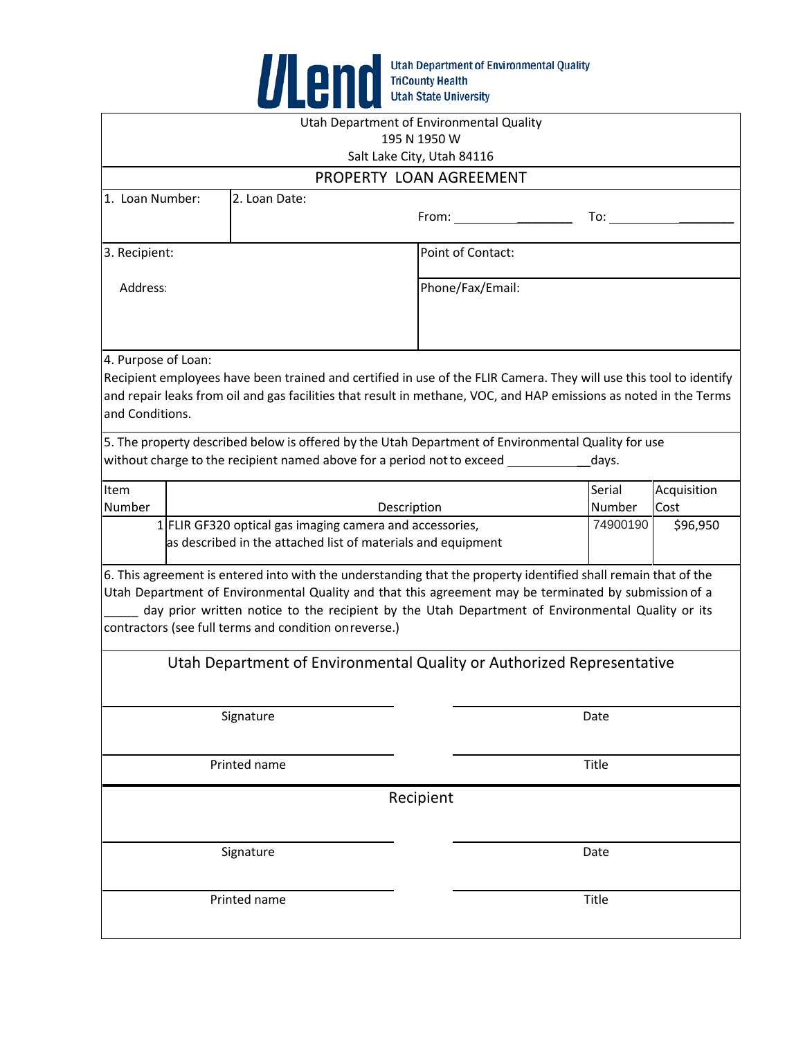

|                                                                                                                          |  | Utah Department of Environmental Quality                                                                                                                                                                                                                                                                                                                                              | 195 N 1950 W               |                                                                |                  |                     |  |
|--------------------------------------------------------------------------------------------------------------------------|--|---------------------------------------------------------------------------------------------------------------------------------------------------------------------------------------------------------------------------------------------------------------------------------------------------------------------------------------------------------------------------------------|----------------------------|----------------------------------------------------------------|------------------|---------------------|--|
|                                                                                                                          |  |                                                                                                                                                                                                                                                                                                                                                                                       | Salt Lake City, Utah 84116 |                                                                |                  |                     |  |
|                                                                                                                          |  | PROPERTY LOAN AGREEMENT                                                                                                                                                                                                                                                                                                                                                               |                            |                                                                |                  |                     |  |
| 1. Loan Number:                                                                                                          |  | 2. Loan Date:                                                                                                                                                                                                                                                                                                                                                                         |                            | $From: \_\_\_\_\_\_\_\_\_\_\_\_\_\_\_\_\_\_\_\_\_\_\_\_\_\_\_$ | To: To           |                     |  |
| 3. Recipient:                                                                                                            |  |                                                                                                                                                                                                                                                                                                                                                                                       |                            | Point of Contact:                                              |                  |                     |  |
| Address:                                                                                                                 |  |                                                                                                                                                                                                                                                                                                                                                                                       |                            | Phone/Fax/Email:                                               |                  |                     |  |
| 4. Purpose of Loan:<br>and Conditions.                                                                                   |  | Recipient employees have been trained and certified in use of the FLIR Camera. They will use this tool to identify<br>and repair leaks from oil and gas facilities that result in methane, VOC, and HAP emissions as noted in the Terms                                                                                                                                               |                            |                                                                |                  |                     |  |
|                                                                                                                          |  | 5. The property described below is offered by the Utah Department of Environmental Quality for use<br>without charge to the recipient named above for a period not to exceed _________                                                                                                                                                                                                |                            |                                                                | days.            |                     |  |
| Item<br>Number                                                                                                           |  |                                                                                                                                                                                                                                                                                                                                                                                       | Description                |                                                                | Serial<br>Number | Acquisition<br>Cost |  |
| 1 FLIR GF320 optical gas imaging camera and accessories,<br>as described in the attached list of materials and equipment |  |                                                                                                                                                                                                                                                                                                                                                                                       |                            |                                                                | 74900190         | \$96,950            |  |
|                                                                                                                          |  | 6. This agreement is entered into with the understanding that the property identified shall remain that of the<br>Utah Department of Environmental Quality and that this agreement may be terminated by submission of a<br>day prior written notice to the recipient by the Utah Department of Environmental Quality or its<br>contractors (see full terms and condition on reverse.) |                            |                                                                |                  |                     |  |
| Utah Department of Environmental Quality or Authorized Representative                                                    |  |                                                                                                                                                                                                                                                                                                                                                                                       |                            |                                                                |                  |                     |  |
| Signature                                                                                                                |  |                                                                                                                                                                                                                                                                                                                                                                                       |                            | Date                                                           |                  |                     |  |
| Printed name                                                                                                             |  |                                                                                                                                                                                                                                                                                                                                                                                       |                            | Title                                                          |                  |                     |  |
|                                                                                                                          |  |                                                                                                                                                                                                                                                                                                                                                                                       | Recipient                  |                                                                |                  |                     |  |
| Signature                                                                                                                |  |                                                                                                                                                                                                                                                                                                                                                                                       |                            |                                                                | Date             |                     |  |
| Printed name                                                                                                             |  |                                                                                                                                                                                                                                                                                                                                                                                       |                            |                                                                | Title            |                     |  |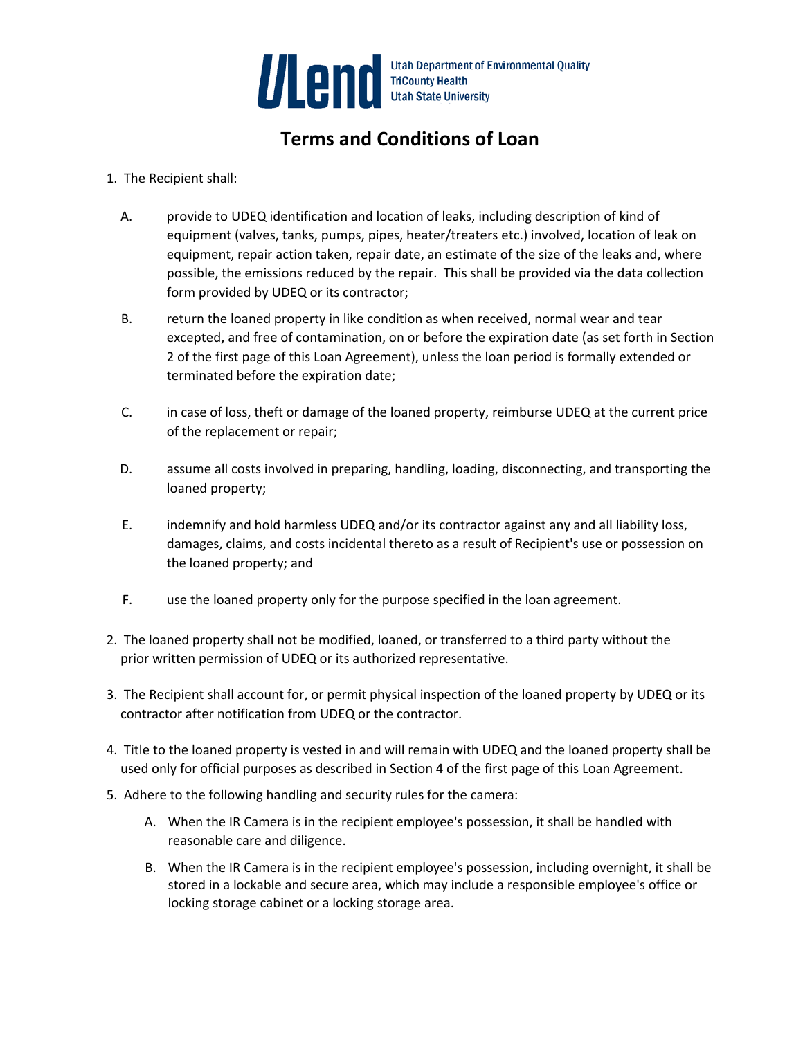

## **Terms and Conditions of Loan**

- 1. The Recipient shall:
	- A. provide to UDEQ identification and location of leaks, including description of kind of equipment (valves, tanks, pumps, pipes, heater/treaters etc.) involved, location of leak on equipment, repair action taken, repair date, an estimate of the size of the leaks and, where possible, the emissions reduced by the repair. This shall be provided via the data collection form provided by UDEQ or its contractor;
	- B. return the loaned property in like condition as when received, normal wear and tear excepted, and free of contamination, on or before the expiration date (as set forth in Section 2 of the first page of this Loan Agreement), unless the loan period is formally extended or terminated before the expiration date;
	- C. in case of loss, theft or damage of the loaned property, reimburse UDEQ at the current price of the replacement or repair;
	- D. assume all costs involved in preparing, handling, loading, disconnecting, and transporting the loaned property;
	- E. indemnify and hold harmless UDEQ and/or its contractor against any and all liability loss, damages, claims, and costs incidental thereto as a result of Recipient's use or possession on the loaned property; and
	- F. use the loaned property only for the purpose specified in the loan agreement.
- 2. The loaned property shall not be modified, loaned, or transferred to a third party without the prior written permission of UDEQ or its authorized representative.
- 3. The Recipient shall account for, or permit physical inspection of the loaned property by UDEQ or its contractor after notification from UDEQ or the contractor.
- 4. Title to the loaned property is vested in and will remain with UDEQ and the loaned property shall be used only for official purposes as described in Section 4 of the first page of this Loan Agreement.
- 5. Adhere to the following handling and security rules for the camera:
	- A. When the IR Camera is in the recipient employee's possession, it shall be handled with reasonable care and diligence.
	- B. When the IR Camera is in the recipient employee's possession, including overnight, it shall be stored in a lockable and secure area, which may include a responsible employee's office or locking storage cabinet or a locking storage area.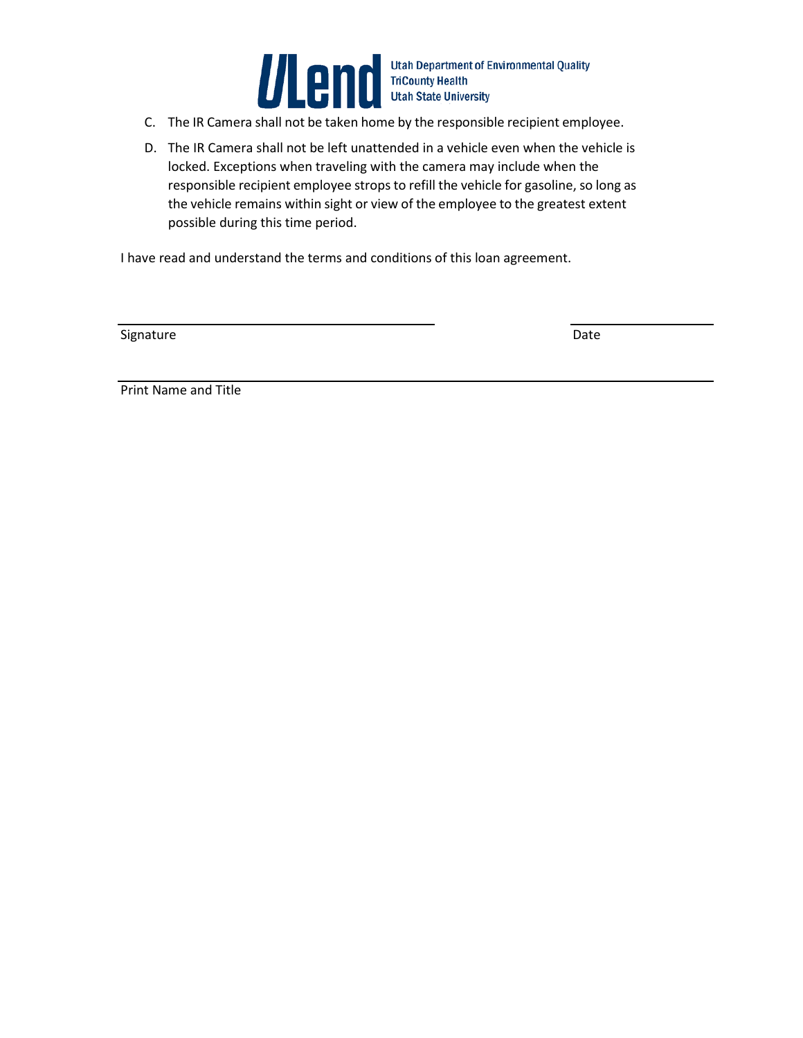

Utah Department of Environmental Quality<br>C. The IR Camera shall not be taken home by the responsible recipient employee.

- 
- D. The IR Camera shall not be left unattended in a vehicle even when the vehicle is locked. Exceptions when traveling with the camera may include when the responsible recipient employee strops to refill the vehicle for gasoline, so long as the vehicle remains within sight or view of the employee to the greatest extent possible during this time period.

I have read and understand the terms and conditions of this loan agreement.

Signature Date

Print Name and Title